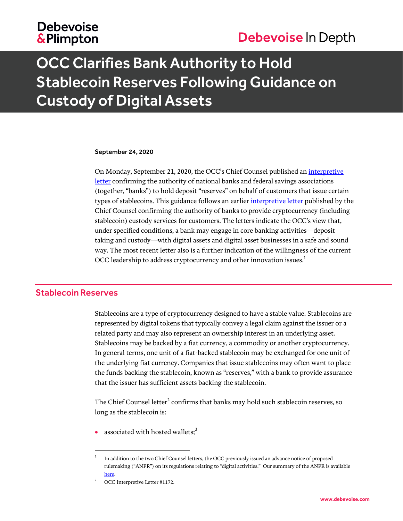## **Debevoise** & Plimpton

# Debevoise In Depth

# OCC Clarifies Bank Authority to Hold Stablecoin Reserves Following Guidance on Custody of Digital Assets

#### September 24, 2020

On Monday, September 21, 2020, the OCC's Chief Counsel published an [interpretive](https://www.occ.gov/topics/charters-and-licensing/interpretations-and-actions/2020/int1172.pdf)  [letter](https://www.occ.gov/topics/charters-and-licensing/interpretations-and-actions/2020/int1172.pdf) confirming the authority of national banks and federal savings associations (together, "banks") to hold deposit "reserves" on behalf of customers that issue certain types of stablecoins. This guidance follows an earlier [interpretive letter](https://www.occ.gov/topics/charters-and-licensing/interpretations-and-actions/2020/int1170.pdf) published by the Chief Counsel confirming the authority of banks to provide cryptocurrency (including stablecoin) custody services for customers. The letters indicate the OCC's view that, under specified conditions, a bank may engage in core banking activities—deposit taking and custody—with digital assets and digital asset businesses in a safe and sound way. The most recent letter also is a further indication of the willingness of the current OCC leadership to address cryptocurrency and other innovation issues. $^{\rm 1}$ 

### Stablecoin Reserves

Stablecoins are a type of cryptocurrency designed to have a stable value. Stablecoins are represented by digital tokens that typically convey a legal claim against the issuer or a related party and may also represent an ownership interest in an underlying asset. Stablecoins may be backed by a fiat currency, a commodity or another cryptocurrency. In general terms, one unit of a fiat-backed stablecoin may be exchanged for one unit of the underlying fiat currency. Companies that issue stablecoins may often want to place the funds backing the stablecoin, known as "reserves," with a bank to provide assurance that the issuer has sufficient assets backing the stablecoin.

The Chief Counsel letter $^2$  confirms that banks may hold such stablecoin reserves, so long as the stablecoin is:

associated with hosted wallets;<sup>3</sup>

l

<sup>1</sup> In addition to the two Chief Counsel letters, the OCC previously issued an advance notice of proposed rulemaking ("ANPR") on its regulations relating to "digital activities." Our summary of the ANPR is available [here.](https://www.debevoise.com/insights/publications/2020/06/occ-invites-public-comment-on-potential-revisions)

OCC Interpretive Letter #1172.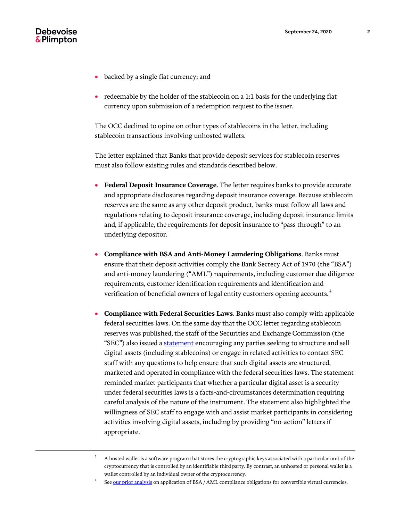l

- backed by a single fiat currency; and
- redeemable by the holder of the stablecoin on a 1:1 basis for the underlying fiat currency upon submission of a redemption request to the issuer.

The OCC declined to opine on other types of stablecoins in the letter, including stablecoin transactions involving unhosted wallets.

The letter explained that Banks that provide deposit services for stablecoin reserves must also follow existing rules and standards described below.

- **Federal Deposit Insurance Coverage**. The letter requires banks to provide accurate and appropriate disclosures regarding deposit insurance coverage. Because stablecoin reserves are the same as any other deposit product, banks must follow all laws and regulations relating to deposit insurance coverage, including deposit insurance limits and, if applicable, the requirements for deposit insurance to "pass through" to an underlying depositor.
- **Compliance with BSA and Anti-Money Laundering Obligations**. Banks must ensure that their deposit activities comply the Bank Secrecy Act of 1970 (the "BSA") and anti-money laundering ("AML") requirements, including customer due diligence requirements, customer identification requirements and identification and verification of beneficial owners of legal entity customers opening accounts.<sup>4</sup>
- **Compliance with Federal Securities Laws**. Banks must also comply with applicable federal securities laws. On the same day that the OCC letter regarding stablecoin reserves was published, the staff of the Securities and Exchange Commission (the "SEC") also issued a [statement](https://www.sec.gov/news/public-statement/sec-finhub-statement-occ-interpretation) encouraging any parties seeking to structure and sell digital assets (including stablecoins) or engage in related activities to contact SEC staff with any questions to help ensure that such digital assets are structured, marketed and operated in compliance with the federal securities laws. The statement reminded market participants that whether a particular digital asset is a security under federal securities laws is a facts-and-circumstances determination requiring careful analysis of the nature of the instrument. The statement also highlighted the willingness of SEC staff to engage with and assist market participants in considering activities involving digital assets, including by providing "no-action" letters if appropriate.

<sup>3</sup> A hosted wallet is a software program that stores the cryptographic keys associated with a particular unit of the cryptocurrency that is controlled by an identifiable third party. By contrast, an unhosted or personal wallet is a wallet controlled by an individual owner of the cryptocurrency.

<sup>4</sup> Se[e our prior analysis](https://www.debevoise.com/insights/publications/2019/05/applying-the-bank-secrecy-act-framework) on application of BSA / AML compliance obligations for convertible virtual currencies.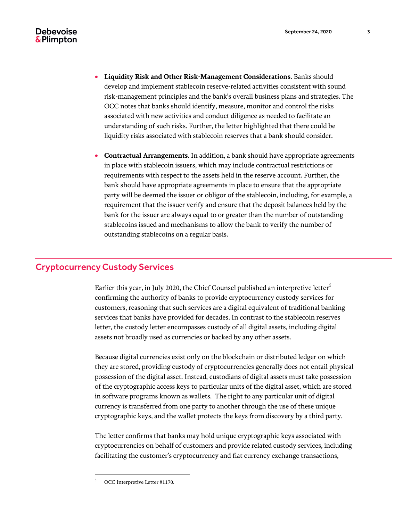## **Debevoise** & Plimpton

- **Liquidity Risk and Other Risk-Management Considerations**. Banks should develop and implement stablecoin reserve-related activities consistent with sound risk-management principles and the bank's overall business plans and strategies. The OCC notes that banks should identify, measure, monitor and control the risks associated with new activities and conduct diligence as needed to facilitate an understanding of such risks. Further, the letter highlighted that there could be liquidity risks associated with stablecoin reserves that a bank should consider.
- **Contractual Arrangements**. In addition, a bank should have appropriate agreements in place with stablecoin issuers, which may include contractual restrictions or requirements with respect to the assets held in the reserve account. Further, the bank should have appropriate agreements in place to ensure that the appropriate party will be deemed the issuer or obligor of the stablecoin, including, for example, a requirement that the issuer verify and ensure that the deposit balances held by the bank for the issuer are always equal to or greater than the number of outstanding stablecoins issued and mechanisms to allow the bank to verify the number of outstanding stablecoins on a regular basis.

## Cryptocurrency Custody Services

Earlier this year, in July 2020, the Chief Counsel published an interpretive letter<sup>5</sup> confirming the authority of banks to provide cryptocurrency custody services for customers, reasoning that such services are a digital equivalent of traditional banking services that banks have provided for decades. In contrast to the stablecoin reserves letter, the custody letter encompasses custody of all digital assets, including digital assets not broadly used as currencies or backed by any other assets.

Because digital currencies exist only on the blockchain or distributed ledger on which they are stored, providing custody of cryptocurrencies generally does not entail physical possession of the digital asset. Instead, custodians of digital assets must take possession of the cryptographic access keys to particular units of the digital asset, which are stored in software programs known as wallets. The right to any particular unit of digital currency is transferred from one party to another through the use of these unique cryptographic keys, and the wallet protects the keys from discovery by a third party.

The letter confirms that banks may hold unique cryptographic keys associated with cryptocurrencies on behalf of customers and provide related custody services, including facilitating the customer's cryptocurrency and fiat currency exchange transactions,

 $\overline{a}$ 

OCC Interpretive Letter #1170.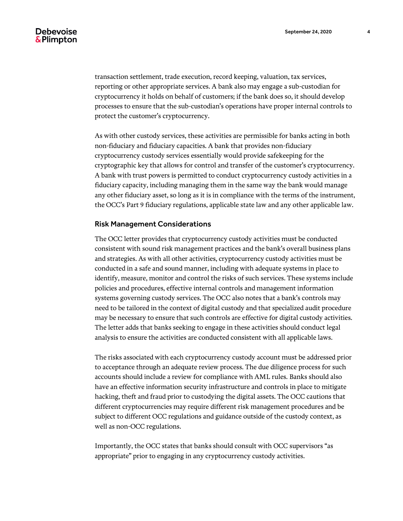transaction settlement, trade execution, record keeping, valuation, tax services, reporting or other appropriate services. A bank also may engage a sub-custodian for cryptocurrency it holds on behalf of customers; if the bank does so, it should develop processes to ensure that the sub-custodian's operations have proper internal controls to protect the customer's cryptocurrency.

As with other custody services, these activities are permissible for banks acting in both non-fiduciary and fiduciary capacities. A bank that provides non-fiduciary cryptocurrency custody services essentially would provide safekeeping for the cryptographic key that allows for control and transfer of the customer's cryptocurrency. A bank with trust powers is permitted to conduct cryptocurrency custody activities in a fiduciary capacity, including managing them in the same way the bank would manage any other fiduciary asset, so long as it is in compliance with the terms of the instrument, the OCC's Part 9 fiduciary regulations, applicable state law and any other applicable law.

#### Risk Management Considerations

The OCC letter provides that cryptocurrency custody activities must be conducted consistent with sound risk management practices and the bank's overall business plans and strategies. As with all other activities, cryptocurrency custody activities must be conducted in a safe and sound manner, including with adequate systems in place to identify, measure, monitor and control the risks of such services. These systems include policies and procedures, effective internal controls and management information systems governing custody services. The OCC also notes that a bank's controls may need to be tailored in the context of digital custody and that specialized audit procedure may be necessary to ensure that such controls are effective for digital custody activities. The letter adds that banks seeking to engage in these activities should conduct legal analysis to ensure the activities are conducted consistent with all applicable laws.

The risks associated with each cryptocurrency custody account must be addressed prior to acceptance through an adequate review process. The due diligence process for such accounts should include a review for compliance with AML rules. Banks should also have an effective information security infrastructure and controls in place to mitigate hacking, theft and fraud prior to custodying the digital assets. The OCC cautions that different cryptocurrencies may require different risk management procedures and be subject to different OCC regulations and guidance outside of the custody context, as well as non-OCC regulations.

Importantly, the OCC states that banks should consult with OCC supervisors "as appropriate" prior to engaging in any cryptocurrency custody activities.